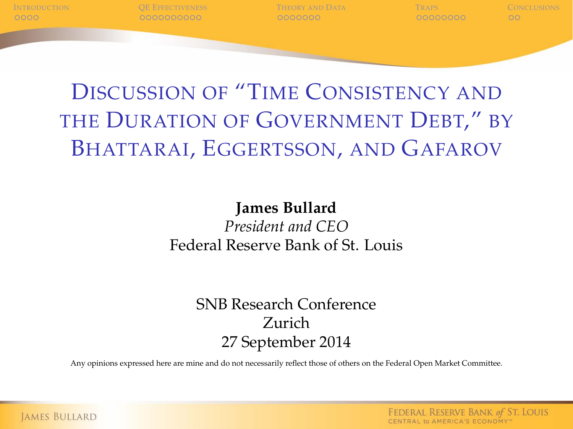

### DISCUSSION OF "TIME CONSISTENCY AND THE DURATION OF GOVERNMENT DEBT," BY BHATTARAI, EGGERTSSON, AND GAFAROV

#### **James Bullard** *President and CEO* Federal Reserve Bank of St. Louis

#### SNB Research Conference Zurich 27 September 2014

Any opinions expressed here are mine and do not necessarily reflect those of others on the Federal Open Market Committee.

FEDERAL RESERVE BANK of ST. LOUIS CENTRAL to AMERICA'S ECONOMY"

**JAMES BULLARD**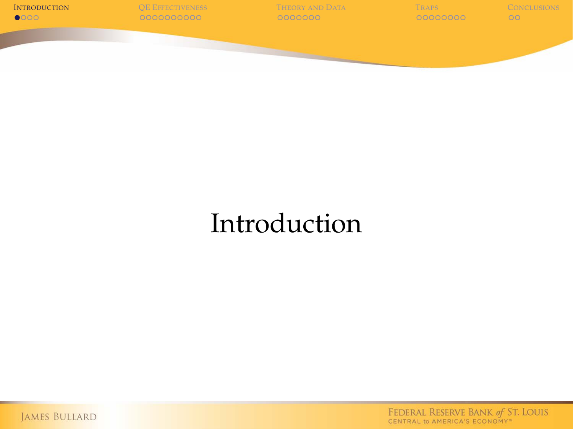

## Introduction

<span id="page-1-0"></span>JAMES BULLARD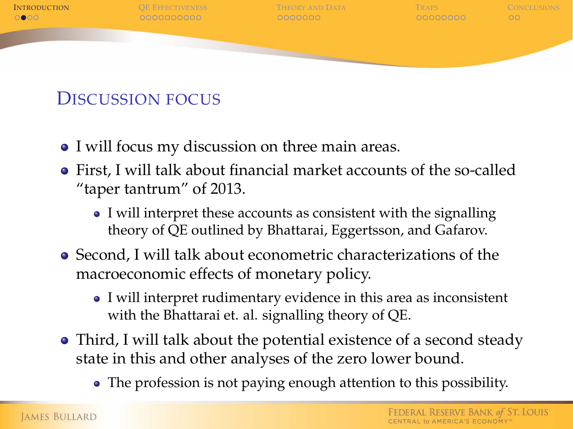

#### DISCUSSION FOCUS

- I will focus my discussion on three main areas.
- First, I will talk about financial market accounts of the so-called "taper tantrum" of 2013.
	- I will interpret these accounts as consistent with the signalling theory of QE outlined by Bhattarai, Eggertsson, and Gafarov.
- Second, I will talk about econometric characterizations of the macroeconomic effects of monetary policy.
	- I will interpret rudimentary evidence in this area as inconsistent with the Bhattarai et. al. signalling theory of QE.
- Third, I will talk about the potential existence of a second steady state in this and other analyses of the zero lower bound.
	- The profession is not paying enough attention to this possibility.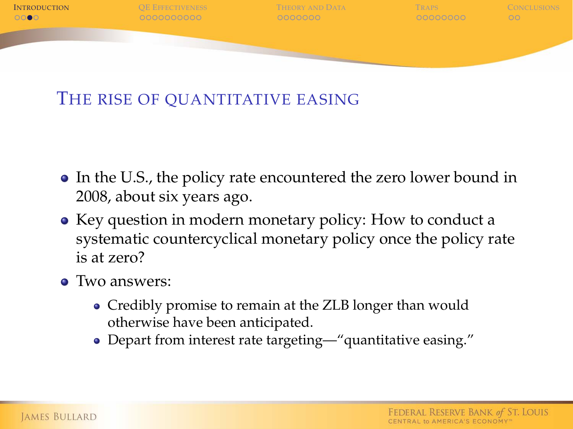

#### THE RISE OF QUANTITATIVE EASING

- In the U.S., the policy rate encountered the zero lower bound in 2008, about six years ago.
- Key question in modern monetary policy: How to conduct a systematic countercyclical monetary policy once the policy rate is at zero?
- Two answers:
	- Credibly promise to remain at the ZLB longer than would otherwise have been anticipated.
	- Depart from interest rate targeting—"quantitative easing."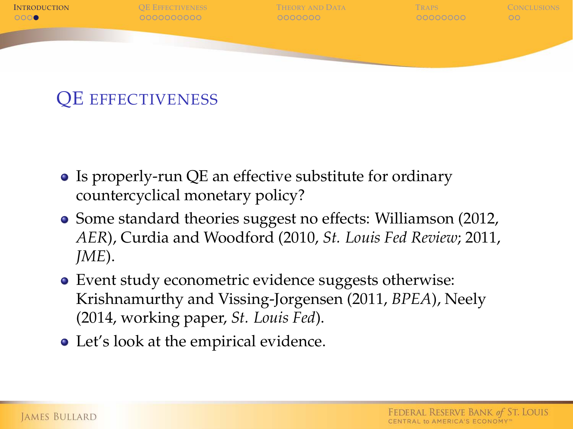

#### QE EFFECTIVENESS

- Is properly-run QE an effective substitute for ordinary countercyclical monetary policy?
- Some standard theories suggest no effects: Williamson (2012, *AER*), Curdia and Woodford (2010, *St. Louis Fed Review*; 2011, *JME*).
- Event study econometric evidence suggests otherwise: Krishnamurthy and Vissing-Jorgensen (2011, *BPEA*), Neely (2014, working paper, *St. Louis Fed*).
- Let's look at the empirical evidence.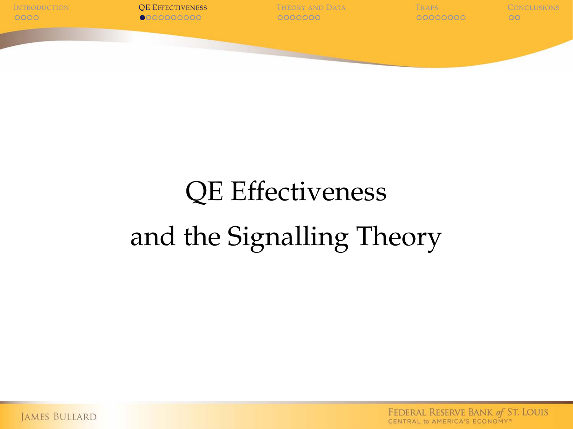

# QE Effectiveness and the Signalling Theory

<span id="page-5-0"></span>**JAMES BULLARD**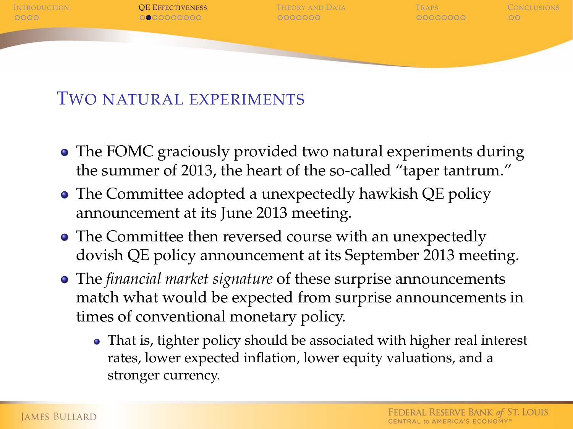

#### TWO NATURAL EXPERIMENTS

- The FOMC graciously provided two natural experiments during the summer of 2013, the heart of the so-called "taper tantrum."
- The Committee adopted a unexpectedly hawkish QE policy announcement at its June 2013 meeting.
- The Committee then reversed course with an unexpectedly dovish QE policy announcement at its September 2013 meeting.
- The *financial market signature* of these surprise announcements match what would be expected from surprise announcements in times of conventional monetary policy.
	- That is, tighter policy should be associated with higher real interest rates, lower expected inflation, lower equity valuations, and a stronger currency.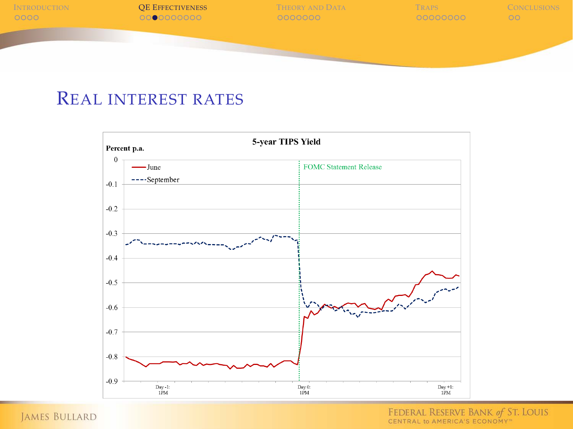

#### REAL INTEREST RATES



JAMES BULLARD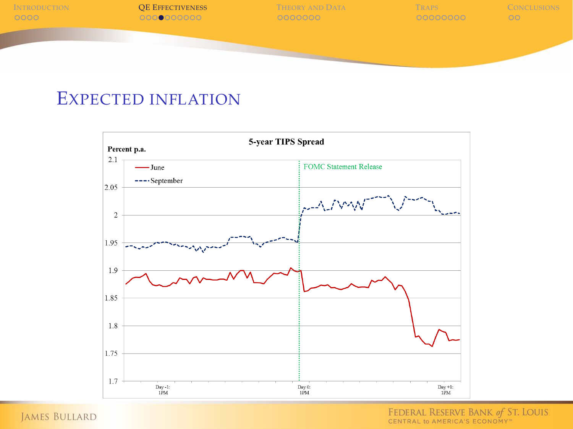

#### EXPECTED INFLATION



JAMES BULLARD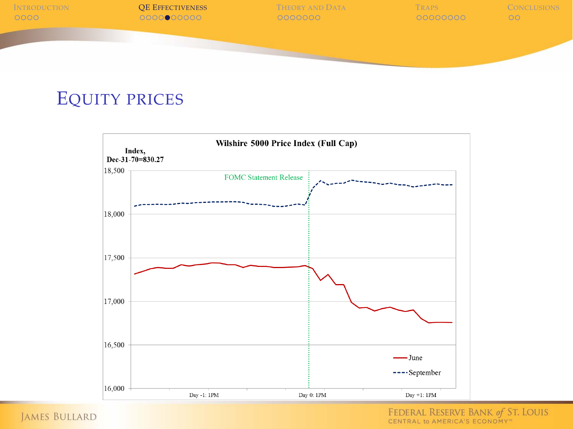

#### EQUITY PRICES



JAMES BULLARD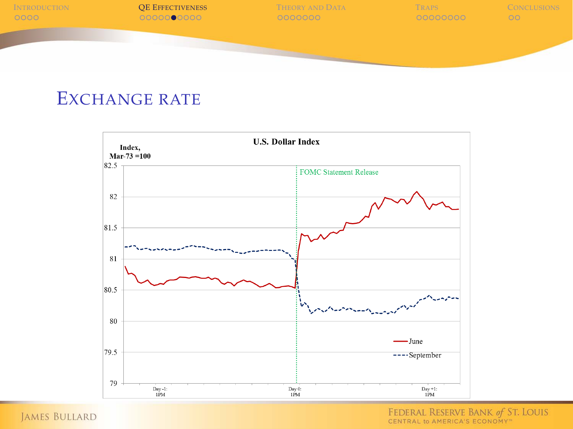

#### EXCHANGE RATE



JAMES BULLARD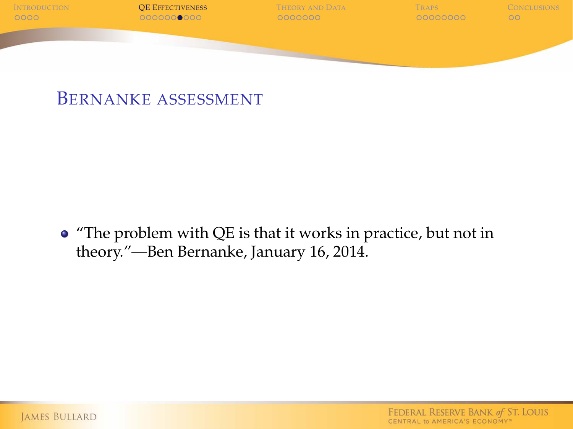

#### BERNANKE ASSESSMENT

"The problem with QE is that it works in practice, but not in theory."—Ben Bernanke, January 16, 2014.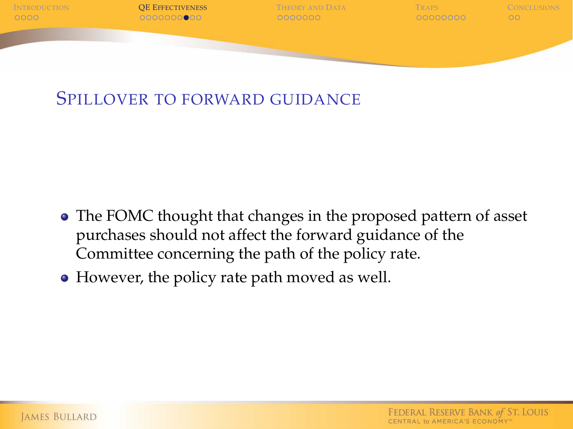

#### SPILLOVER TO FORWARD GUIDANCE

- The FOMC thought that changes in the proposed pattern of asset purchases should not affect the forward guidance of the Committee concerning the path of the policy rate.
- However, the policy rate path moved as well.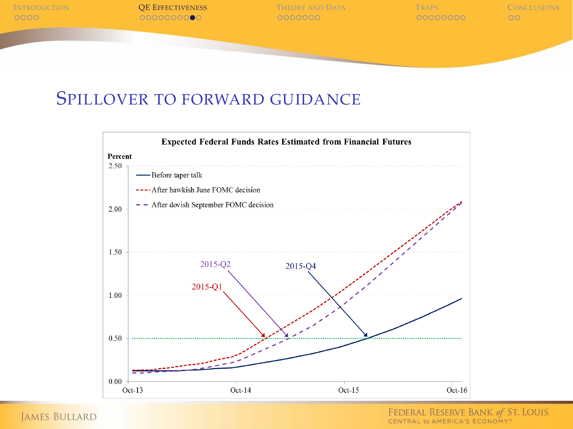

#### SPILLOVER TO FORWARD GUIDANCE



JAMES BULLARD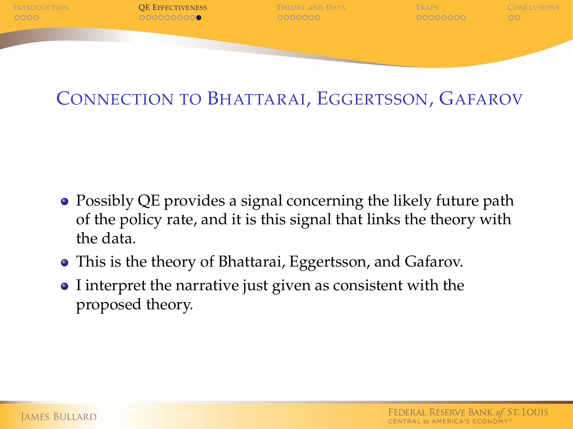

#### CONNECTION TO BHATTARAI, EGGERTSSON, GAFAROV

- Possibly QE provides a signal concerning the likely future path of the policy rate, and it is this signal that links the theory with the data.
- This is the theory of Bhattarai, Eggertsson, and Gafarov.
- I interpret the narrative just given as consistent with the proposed theory.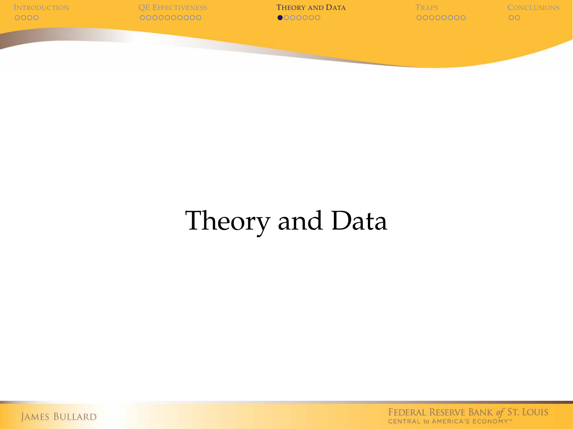

# Theory and Data

<span id="page-15-0"></span>JAMES BULLARD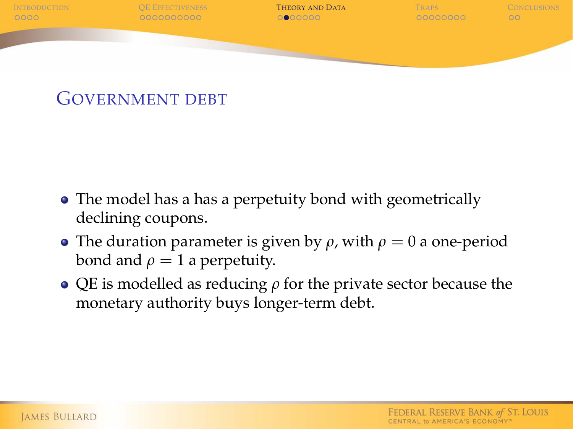

#### GOVERNMENT DEBT

- The model has a has a perpetuity bond with geometrically declining coupons.
- **•** The duration parameter is given by  $\rho$ , with  $\rho = 0$  a one-period bond and  $\rho = 1$  a perpetuity.
- $\bullet$  QE is modelled as reducing  $\rho$  for the private sector because the monetary authority buys longer-term debt.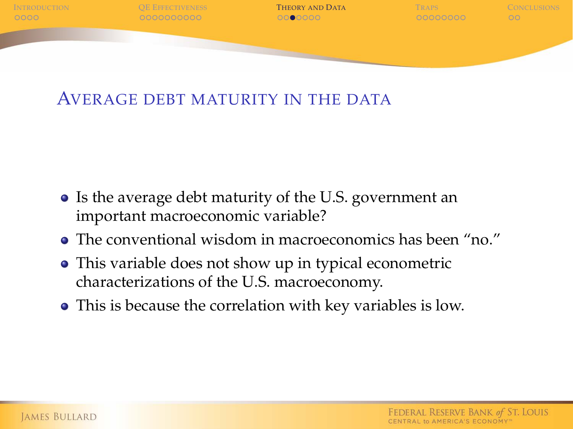

#### AVERAGE DEBT MATURITY IN THE DATA

- Is the average debt maturity of the U.S. government an important macroeconomic variable?
- The conventional wisdom in macroeconomics has been "no."
- This variable does not show up in typical econometric characterizations of the U.S. macroeconomy.
- This is because the correlation with key variables is low.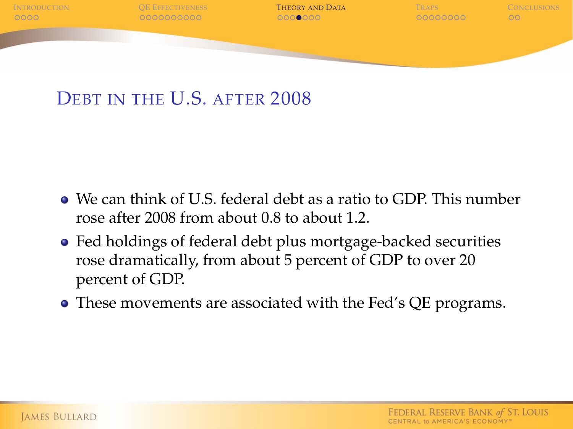

#### DEBT IN THE U.S. AFTER 2008

- We can think of U.S. federal debt as a ratio to GDP. This number rose after 2008 from about 0.8 to about 1.2.
- Fed holdings of federal debt plus mortgage-backed securities rose dramatically, from about 5 percent of GDP to over 20 percent of GDP.
- These movements are associated with the Fed's QE programs.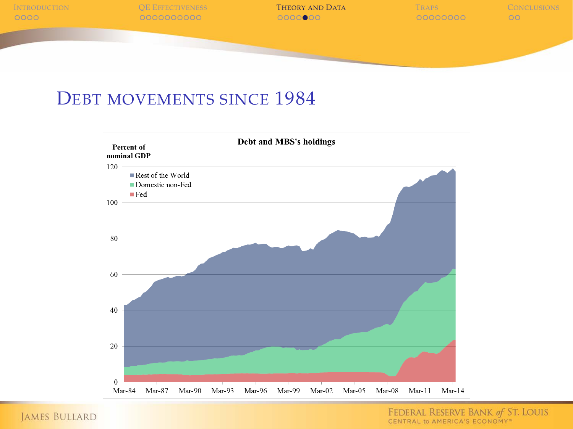

#### DEBT MOVEMENTS SINCE 1984



JAMES BULLARD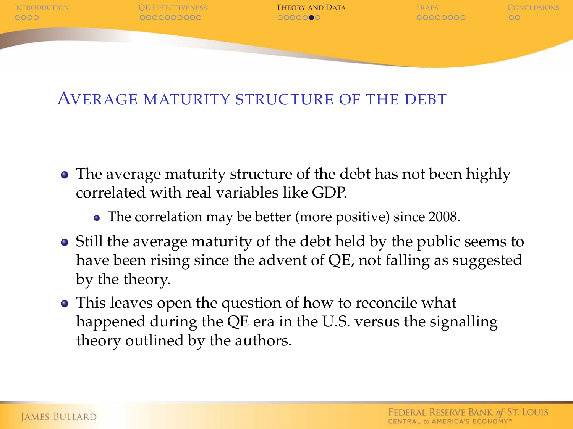

#### AVERAGE MATURITY STRUCTURE OF THE DEBT

- The average maturity structure of the debt has not been highly correlated with real variables like GDP.
	- The correlation may be better (more positive) since 2008.
- Still the average maturity of the debt held by the public seems to have been rising since the advent of QE, not falling as suggested by the theory.
- This leaves open the question of how to reconcile what happened during the QE era in the U.S. versus the signalling theory outlined by the authors.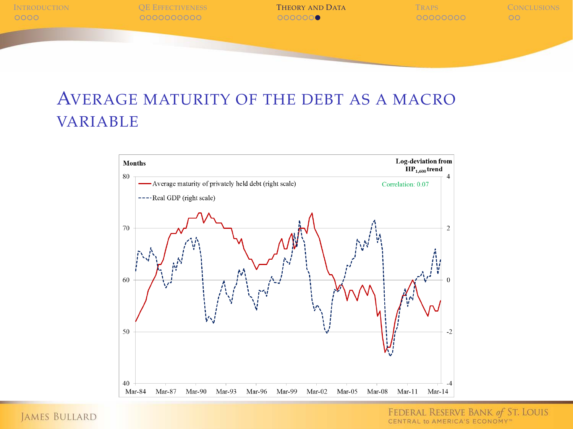

#### AVERAGE MATURITY OF THE DEBT AS A MACRO VARIABLE



**JAMES BULLARD**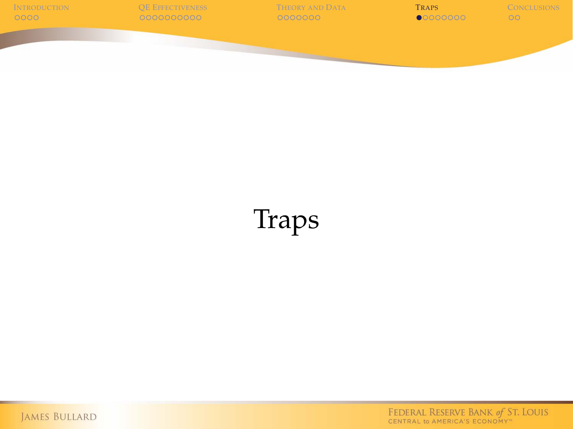

# Traps

<span id="page-22-0"></span>JAMES BULLARD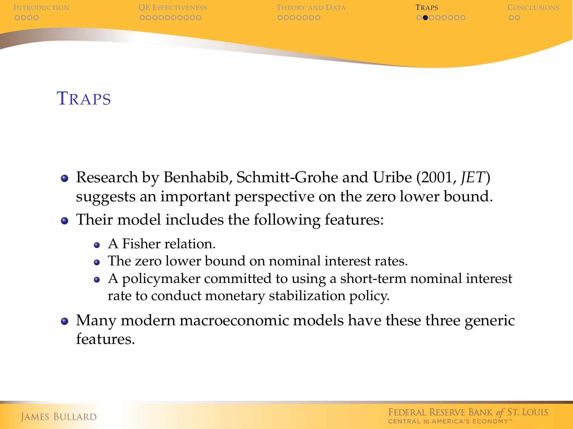

**TRAPS** 

- Research by Benhabib, Schmitt-Grohe and Uribe (2001, *JET*) suggests an important perspective on the zero lower bound.
- Their model includes the following features:
	- **A** Fisher relation
	- The zero lower bound on nominal interest rates.
	- A policymaker committed to using a short-term nominal interest rate to conduct monetary stabilization policy.
- Many modern macroeconomic models have these three generic features.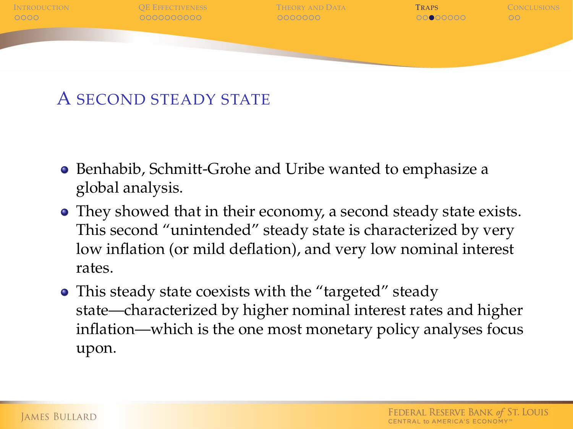

#### A SECOND STEADY STATE

- Benhabib, Schmitt-Grohe and Uribe wanted to emphasize a global analysis.
- They showed that in their economy, a second steady state exists. This second "unintended" steady state is characterized by very low inflation (or mild deflation), and very low nominal interest rates.
- This steady state coexists with the "targeted" steady state—characterized by higher nominal interest rates and higher inflation—which is the one most monetary policy analyses focus upon.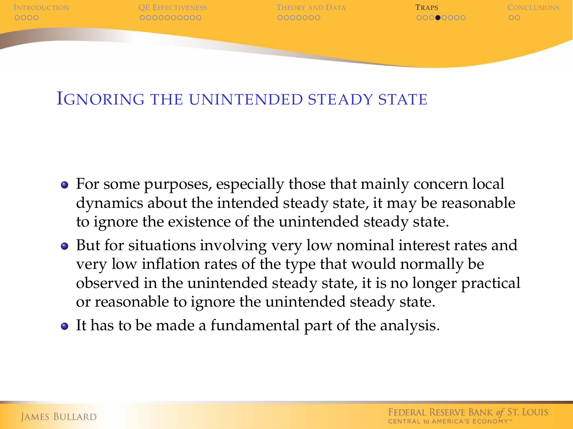

#### IGNORING THE UNINTENDED STEADY STATE

- For some purposes, especially those that mainly concern local dynamics about the intended steady state, it may be reasonable to ignore the existence of the unintended steady state.
- But for situations involving very low nominal interest rates and very low inflation rates of the type that would normally be observed in the unintended steady state, it is no longer practical or reasonable to ignore the unintended steady state.
- It has to be made a fundamental part of the analysis.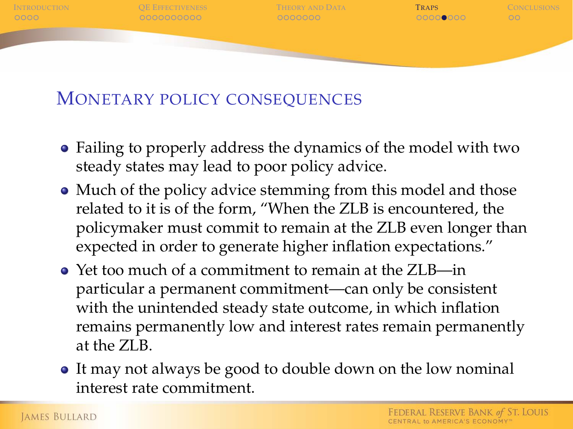

#### MONETARY POLICY CONSEQUENCES

- Failing to properly address the dynamics of the model with two steady states may lead to poor policy advice.
- Much of the policy advice stemming from this model and those related to it is of the form, "When the ZLB is encountered, the policymaker must commit to remain at the ZLB even longer than expected in order to generate higher inflation expectations."
- Yet too much of a commitment to remain at the ZLB—in particular a permanent commitment—can only be consistent with the unintended steady state outcome, in which inflation remains permanently low and interest rates remain permanently at the ZLB.
- It may not always be good to double down on the low nominal interest rate commitment.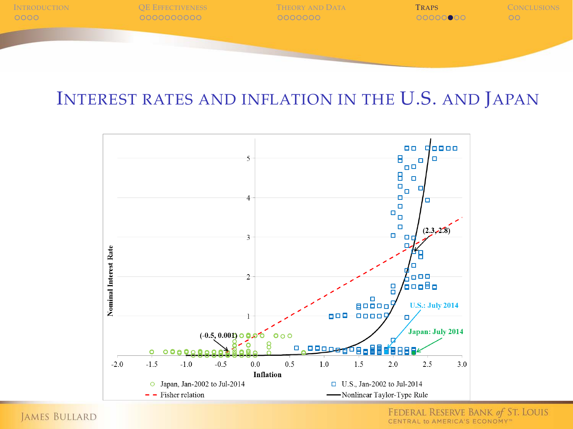

#### INTEREST RATES AND INFLATION IN THE U.S. AND JAPAN



**JAMES BULLARD**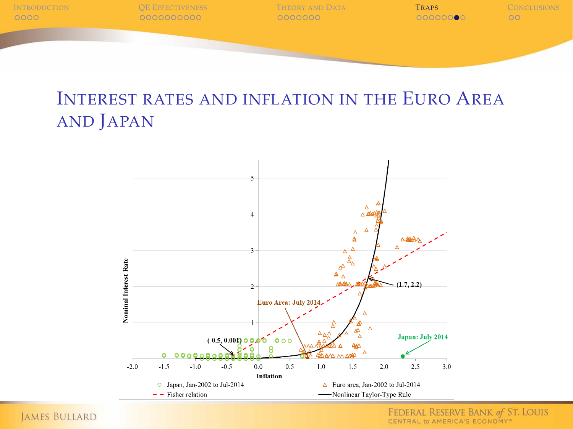

#### INTEREST RATES AND INFLATION IN THE EURO AREA AND JAPAN



**JAMES BULLARD**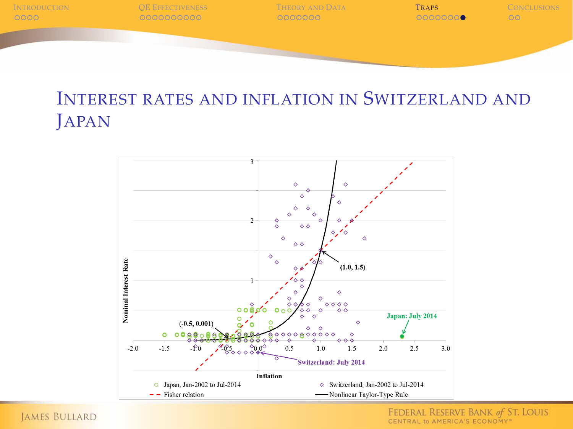

#### INTEREST RATES AND INFLATION IN SWITZERLAND AND **JAPAN**



**JAMES BULLARD**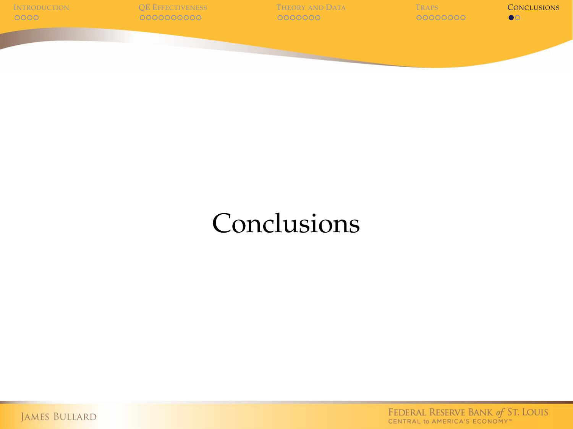

### **Conclusions**

<span id="page-30-0"></span>JAMES BULLARD